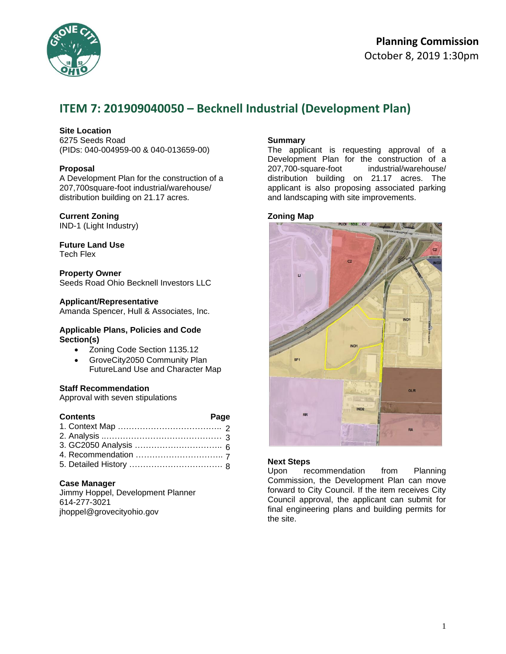

# **Planning Commission**  October 8, 2019 1:30pm

# **ITEM 7: 201909040050 – Becknell Industrial (Development Plan)**

## **Site Location**

6275 Seeds Road (PIDs: 040-004959-00 & 040-013659-00)

## **Proposal**

A Development Plan for the construction of a 207,700square-foot industrial/warehouse/ distribution building on 21.17 acres.

## **Current Zoning**

IND-1 (Light Industry)

# **Future Land Use**

Tech Flex

## **Property Owner**

Seeds Road Ohio Becknell Investors LLC

## **Applicant/Representative**

Amanda Spencer, Hull & Associates, Inc.

#### **Applicable Plans, Policies and Code Section(s)**

- Zoning Code Section 1135.12
- GroveCity2050 Community Plan FutureLand Use and Character Map

## **Staff Recommendation**

Approval with seven stipulations

| <b>Contents</b> | Page |  |
|-----------------|------|--|
|                 |      |  |
|                 |      |  |
|                 |      |  |
|                 |      |  |
|                 |      |  |

## **Case Manager**

Jimmy Hoppel, Development Planner 614-277-3021 jhoppel@grovecityohio.gov

## **Summary**

The applicant is requesting approval of a Development Plan for the construction of a 207,700-square-foot industrial/warehouse/ distribution building on 21.17 acres. The applicant is also proposing associated parking and landscaping with site improvements.

## **Zoning Map**



## **Next Steps**

Upon recommendation from Planning Commission, the Development Plan can move forward to City Council. If the item receives City Council approval, the applicant can submit for final engineering plans and building permits for the site.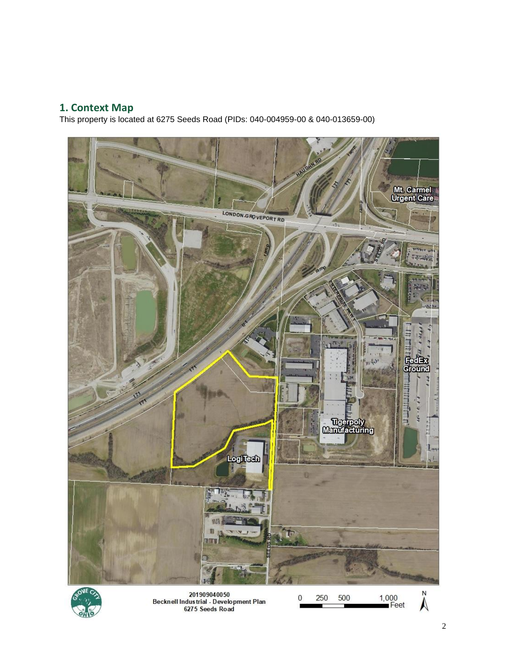# **1. Context Map**

This property is located at 6275 Seeds Road (PIDs: 040-004959-00 & 040-013659-00)





201909040050<br>Becknell Industrial - Development Plan 6275 Seeds Road

N

 $\ddot{\text{A}}$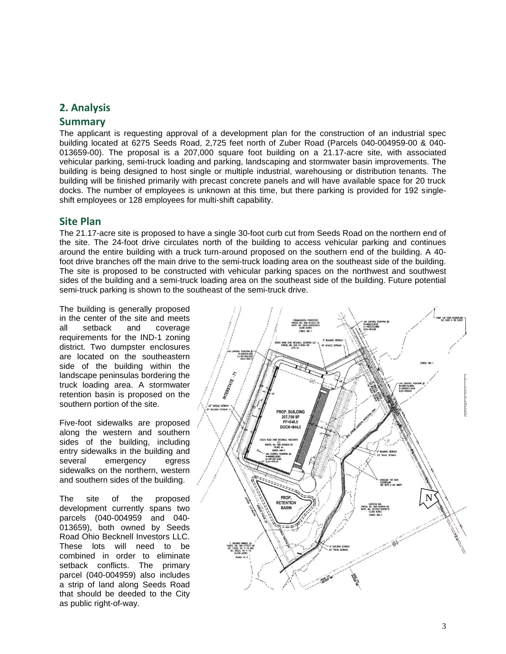# **2. Analysis**

# **Summary**

The applicant is requesting approval of a development plan for the construction of an industrial spec building located at 6275 Seeds Road, 2,725 feet north of Zuber Road (Parcels 040-004959-00 & 040- 013659-00). The proposal is a 207,000 square foot building on a 21.17-acre site, with associated vehicular parking, semi-truck loading and parking, landscaping and stormwater basin improvements. The building is being designed to host single or multiple industrial, warehousing or distribution tenants. The building will be finished primarily with precast concrete panels and will have available space for 20 truck docks. The number of employees is unknown at this time, but there parking is provided for 192 singleshift employees or 128 employees for multi-shift capability.

# **Site Plan**

The 21.17-acre site is proposed to have a single 30-foot curb cut from Seeds Road on the northern end of the site. The 24-foot drive circulates north of the building to access vehicular parking and continues around the entire building with a truck turn-around proposed on the southern end of the building. A 40 foot drive branches off the main drive to the semi-truck loading area on the southeast side of the building. The site is proposed to be constructed with vehicular parking spaces on the northwest and southwest sides of the building and a semi-truck loading area on the southeast side of the building. Future potential semi-truck parking is shown to the southeast of the semi-truck drive.

The building is generally proposed in the center of the site and meets all setback and coverage requirements for the IND-1 zoning district. Two dumpster enclosures are located on the southeastern side of the building within the landscape peninsulas bordering the truck loading area. A stormwater retention basin is proposed on the southern portion of the site.

Five-foot sidewalks are proposed along the western and southern sides of the building, including entry sidewalks in the building and several emergency egress sidewalks on the northern, western and southern sides of the building.

The site of the proposed development currently spans two parcels (040-004959 and 040- 013659), both owned by Seeds Road Ohio Becknell Investors LLC. These lots will need to be combined in order to eliminate setback conflicts. The primary parcel (040-004959) also includes a strip of land along Seeds Road that should be deeded to the City as public right-of-way.

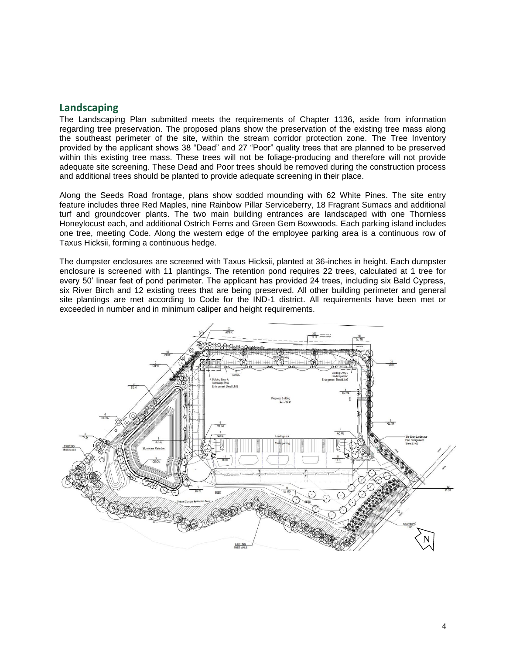## **Landscaping**

The Landscaping Plan submitted meets the requirements of Chapter 1136, aside from information regarding tree preservation. The proposed plans show the preservation of the existing tree mass along the southeast perimeter of the site, within the stream corridor protection zone. The Tree Inventory provided by the applicant shows 38 "Dead" and 27 "Poor" quality trees that are planned to be preserved within this existing tree mass. These trees will not be foliage-producing and therefore will not provide adequate site screening. These Dead and Poor trees should be removed during the construction process and additional trees should be planted to provide adequate screening in their place.

Along the Seeds Road frontage, plans show sodded mounding with 62 White Pines. The site entry feature includes three Red Maples, nine Rainbow Pillar Serviceberry, 18 Fragrant Sumacs and additional turf and groundcover plants. The two main building entrances are landscaped with one Thornless Honeylocust each, and additional Ostrich Ferns and Green Gem Boxwoods. Each parking island includes one tree, meeting Code. Along the western edge of the employee parking area is a continuous row of Taxus Hicksii, forming a continuous hedge.

The dumpster enclosures are screened with Taxus Hicksii, planted at 36-inches in height. Each dumpster enclosure is screened with 11 plantings. The retention pond requires 22 trees, calculated at 1 tree for every 50' linear feet of pond perimeter. The applicant has provided 24 trees, including six Bald Cypress, six River Birch and 12 existing trees that are being preserved. All other building perimeter and general site plantings are met according to Code for the IND-1 district. All requirements have been met or exceeded in number and in minimum caliper and height requirements.

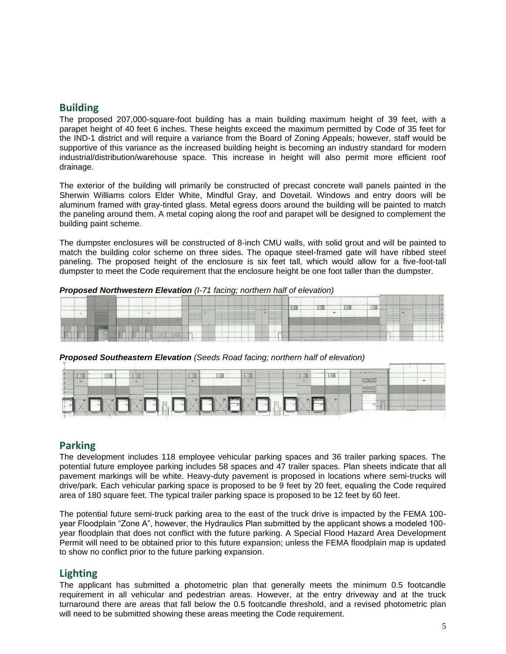## **Building**

The proposed 207,000-square-foot building has a main building maximum height of 39 feet, with a parapet height of 40 feet 6 inches. These heights exceed the maximum permitted by Code of 35 feet for the IND-1 district and will require a variance from the Board of Zoning Appeals; however, staff would be supportive of this variance as the increased building height is becoming an industry standard for modern industrial/distribution/warehouse space. This increase in height will also permit more efficient roof drainage.

The exterior of the building will primarily be constructed of precast concrete wall panels painted in the Sherwin Williams colors Elder White, Mindful Gray, and Dovetail. Windows and entry doors will be aluminum framed with gray-tinted glass. Metal egress doors around the building will be painted to match the paneling around them. A metal coping along the roof and parapet will be designed to complement the building paint scheme.

The dumpster enclosures will be constructed of 8-inch CMU walls, with solid grout and will be painted to match the building color scheme on three sides. The opaque steel-framed gate will have ribbed steel paneling. The proposed height of the enclosure is six feet tall, which would allow for a five-foot-tall dumpster to meet the Code requirement that the enclosure height be one foot taller than the dumpster.

*Proposed Northwestern Elevation (I-71 facing; northern half of elevation)*

|                                                                                                                                                                                                                                           |                                                                                                                                                                                                                                                                                | ______<br>-----<br>------------      |                                                                                                                           |
|-------------------------------------------------------------------------------------------------------------------------------------------------------------------------------------------------------------------------------------------|--------------------------------------------------------------------------------------------------------------------------------------------------------------------------------------------------------------------------------------------------------------------------------|--------------------------------------|---------------------------------------------------------------------------------------------------------------------------|
| <b>Contract Contract Contract Contract</b>                                                                                                                                                                                                | __<br>the property of the control of the control of the control of<br>____                                                                                                                                                                                                     | <b>Charles College College</b><br>-- | ---<br><b>Brown and Common</b>                                                                                            |
| ______<br><b>School Section 1989</b><br>$\sim$<br>the process of the con-                                                                                                                                                                 | ____<br>The process and the computer<br>-----<br>---------<br>the process of the contract of<br>and the control of the control of the control of<br>the company's process and the<br>Science of Contractor<br>______<br>____<br>______                                         | $\sim$                               | ____<br>the company's company's company's<br>____<br>_<br>_______<br>-------<br>______                                    |
| ______<br><b>Contract Contract Contract</b><br><b>CONTRACTOR</b><br>_____<br>______                                                                                                                                                       | ______<br>and the property of the country of the country of<br><b>Contract of Contract of</b><br>_____<br>__________<br>__<br><b>Service Controllers</b><br><b>Services</b> States<br>______<br><b>Contract Contract</b><br><b>Constitution of the American</b><br>___<br>____ |                                      | ----<br>_<br>___<br>----<br><b>Contract &amp; American</b><br>-----<br>_____<br>____<br>______<br>____<br>________        |
| ________<br>--------<br>_______<br><b>Science Advised Associates</b>                                                                                                                                                                      | The property of the local<br><b>Contract Contract</b><br>_________<br><b>College</b><br>_____<br>_____<br>_____<br>____<br>_<br>_<br>________                                                                                                                                  |                                      | ____<br>______<br>_____<br>______<br>____<br><b>Committee Committee</b><br>___<br>The control of the con-<br>--<br>______ |
| ______<br>______<br><b>STATISTICS</b><br>and the company's company's                                                                                                                                                                      | ---------<br>_____<br>_<br><b>Contractor</b><br>the company's company's company's<br>-----<br>-----                                                                                                                                                                            |                                      | _<br>--<br>____<br>--<br>the former of the com-                                                                           |
| <b>Commercial</b><br><b>The Company's</b><br>_____<br>_<br>_<br>1 September 11<br><b>Commercial</b><br>-<br>______<br>-----<br>--<br><b>Charles Card</b><br>____<br><b>Contract Contract Contract Contract</b><br>-<br>_____<br>-----     | --                                                                                                                                                                                                                                                                             |                                      |                                                                                                                           |
| <b>Construction</b><br><b>Statement</b><br>____<br>_<br><b><i>Continental</i></b><br><b>Contract Contract Contract Contract</b><br>-<br>--<br><b>Bancon</b><br>the process of the con-<br>to appearance to have done<br>-------<br>------ | <b>Commercial discussion from a</b><br>________                                                                                                                                                                                                                                |                                      | ___<br>_______                                                                                                            |
|                                                                                                                                                                                                                                           |                                                                                                                                                                                                                                                                                |                                      | ____<br>_______                                                                                                           |
| and the company of the said in<br>the country of the country of the country of the country of the country of<br>and the company of the property of the company<br>the advertising the first contract of the                               | _______                                                                                                                                                                                                                                                                        |                                      |                                                                                                                           |

*Proposed Southeastern Elevation (Seeds Road facing; northern half of elevation)*

| ___                           | $-$ | and at the R. E. and the first product and in-<br><b>State</b> | <b>STATE OF THE OWNER.</b><br>------- | $\sim$                                           |                                           | ---<br>--<br>.<br><b>Sec.</b><br>- |                      |                                                       |                                                                                                                                                                                                                                                  | and the company and holiday that<br><b>Charles Construction</b><br><b>CONTRACTOR</b><br>____<br>the two two positions had<br><b>The American Pro</b> |                                   | $-$ |  |
|-------------------------------|-----|----------------------------------------------------------------|---------------------------------------|--------------------------------------------------|-------------------------------------------|------------------------------------|----------------------|-------------------------------------------------------|--------------------------------------------------------------------------------------------------------------------------------------------------------------------------------------------------------------------------------------------------|------------------------------------------------------------------------------------------------------------------------------------------------------|-----------------------------------|-----|--|
| a control control of the con- |     |                                                                |                                       | <b>The Company of the Company of the Company</b> | and in plans a subject of the appropriate | the information of the state.      | continue of monetary | --<br>--<br><b>Friedrich</b><br><b><i>Parants</i></b> | <b><i><u>A Contract A Contract A Contract A Contract A Contract A Contract A Contract A Contract A Contract A Contract A Contract A Contract A Contract A Contract A Contract A Contract A Contract A Contract A Contract A Contract</u></i></b> | $\frac{1}{2}$<br>with the first time<br><b>CD</b><br><b><i>CONTRACTOR</i></b><br><b>COLOR</b>                                                        | -<br><b><i>Search a bring</i></b> |     |  |

## **Parking**

The development includes 118 employee vehicular parking spaces and 36 trailer parking spaces. The potential future employee parking includes 58 spaces and 47 trailer spaces. Plan sheets indicate that all pavement markings will be white. Heavy-duty pavement is proposed in locations where semi-trucks will drive/park. Each vehicular parking space is proposed to be 9 feet by 20 feet, equaling the Code required area of 180 square feet. The typical trailer parking space is proposed to be 12 feet by 60 feet.

The potential future semi-truck parking area to the east of the truck drive is impacted by the FEMA 100 year Floodplain "Zone A", however, the Hydraulics Plan submitted by the applicant shows a modeled 100 year floodplain that does not conflict with the future parking. A Special Flood Hazard Area Development Permit will need to be obtained prior to this future expansion; unless the FEMA floodplain map is updated to show no conflict prior to the future parking expansion.

# **Lighting**

The applicant has submitted a photometric plan that generally meets the minimum 0.5 footcandle requirement in all vehicular and pedestrian areas. However, at the entry driveway and at the truck turnaround there are areas that fall below the 0.5 footcandle threshold, and a revised photometric plan will need to be submitted showing these areas meeting the Code requirement.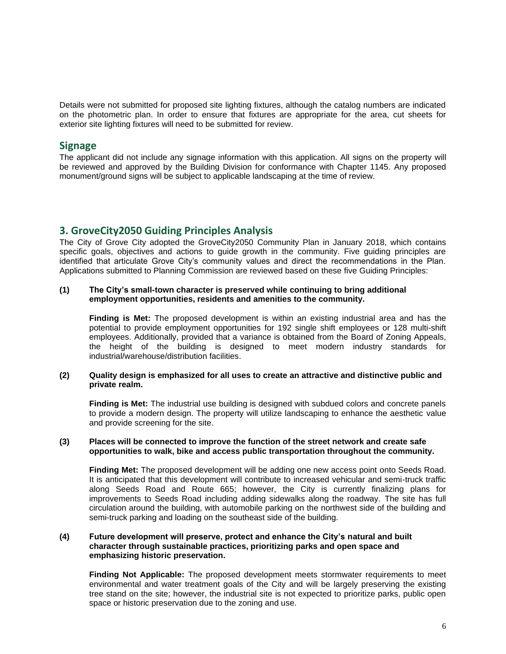Details were not submitted for proposed site lighting fixtures, although the catalog numbers are indicated on the photometric plan. In order to ensure that fixtures are appropriate for the area, cut sheets for exterior site lighting fixtures will need to be submitted for review.

## **Signage**

The applicant did not include any signage information with this application. All signs on the property will be reviewed and approved by the Building Division for conformance with Chapter 1145. Any proposed monument/ground signs will be subject to applicable landscaping at the time of review.

# **3. GroveCity2050 Guiding Principles Analysis**

The City of Grove City adopted the GroveCity2050 Community Plan in January 2018, which contains specific goals, objectives and actions to guide growth in the community. Five guiding principles are identified that articulate Grove City's community values and direct the recommendations in the Plan. Applications submitted to Planning Commission are reviewed based on these five Guiding Principles:

## **(1) The City's small-town character is preserved while continuing to bring additional employment opportunities, residents and amenities to the community.**

**Finding is Met:** The proposed development is within an existing industrial area and has the potential to provide employment opportunities for 192 single shift employees or 128 multi-shift employees. Additionally, provided that a variance is obtained from the Board of Zoning Appeals, the height of the building is designed to meet modern industry standards for industrial/warehouse/distribution facilities.

## **(2) Quality design is emphasized for all uses to create an attractive and distinctive public and private realm.**

**Finding is Met:** The industrial use building is designed with subdued colors and concrete panels to provide a modern design. The property will utilize landscaping to enhance the aesthetic value and provide screening for the site.

#### **(3) Places will be connected to improve the function of the street network and create safe opportunities to walk, bike and access public transportation throughout the community.**

**Finding Met:** The proposed development will be adding one new access point onto Seeds Road. It is anticipated that this development will contribute to increased vehicular and semi-truck traffic along Seeds Road and Route 665; however, the City is currently finalizing plans for improvements to Seeds Road including adding sidewalks along the roadway. The site has full circulation around the building, with automobile parking on the northwest side of the building and semi-truck parking and loading on the southeast side of the building.

## **(4) Future development will preserve, protect and enhance the City's natural and built character through sustainable practices, prioritizing parks and open space and emphasizing historic preservation.**

**Finding Not Applicable:** The proposed development meets stormwater requirements to meet environmental and water treatment goals of the City and will be largely preserving the existing tree stand on the site; however, the industrial site is not expected to prioritize parks, public open space or historic preservation due to the zoning and use.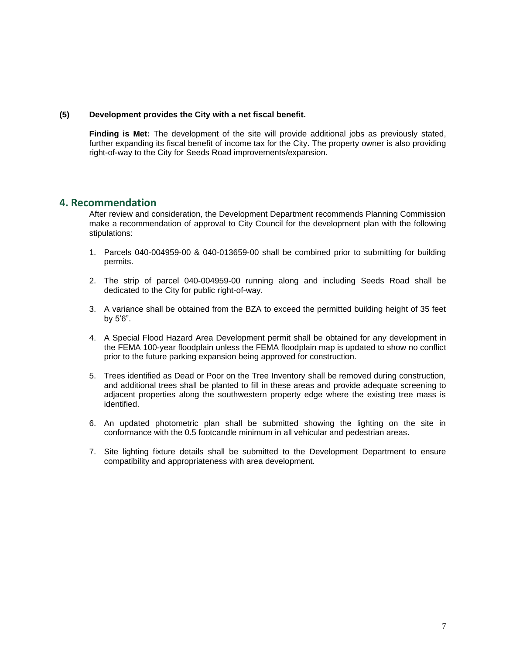## **(5) Development provides the City with a net fiscal benefit.**

**Finding is Met:** The development of the site will provide additional jobs as previously stated, further expanding its fiscal benefit of income tax for the City. The property owner is also providing right-of-way to the City for Seeds Road improvements/expansion.

## **4. Recommendation**

After review and consideration, the Development Department recommends Planning Commission make a recommendation of approval to City Council for the development plan with the following stipulations:

- 1. Parcels 040-004959-00 & 040-013659-00 shall be combined prior to submitting for building permits.
- 2. The strip of parcel 040-004959-00 running along and including Seeds Road shall be dedicated to the City for public right-of-way.
- 3. A variance shall be obtained from the BZA to exceed the permitted building height of 35 feet by 5'6".
- 4. A Special Flood Hazard Area Development permit shall be obtained for any development in the FEMA 100-year floodplain unless the FEMA floodplain map is updated to show no conflict prior to the future parking expansion being approved for construction.
- 5. Trees identified as Dead or Poor on the Tree Inventory shall be removed during construction, and additional trees shall be planted to fill in these areas and provide adequate screening to adjacent properties along the southwestern property edge where the existing tree mass is identified.
- 6. An updated photometric plan shall be submitted showing the lighting on the site in conformance with the 0.5 footcandle minimum in all vehicular and pedestrian areas.
- 7. Site lighting fixture details shall be submitted to the Development Department to ensure compatibility and appropriateness with area development.